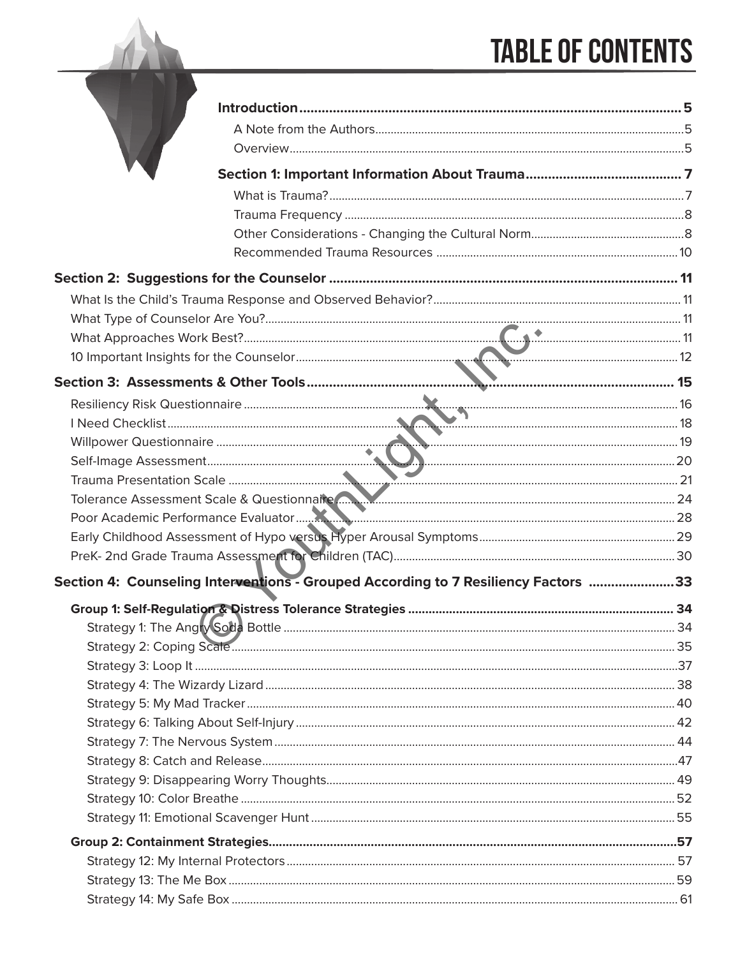## **TABLE OF CONTENTS**

| Tolerance Assessment Scale & Questionnaire (2008) 24 March 2010 124                |  |
|------------------------------------------------------------------------------------|--|
|                                                                                    |  |
|                                                                                    |  |
|                                                                                    |  |
| Section 4: Counseling Interventions - Grouped According to 7 Resiliency Factors 33 |  |
|                                                                                    |  |
|                                                                                    |  |
|                                                                                    |  |
|                                                                                    |  |
|                                                                                    |  |
|                                                                                    |  |
|                                                                                    |  |
|                                                                                    |  |
|                                                                                    |  |
|                                                                                    |  |
|                                                                                    |  |
|                                                                                    |  |
|                                                                                    |  |
|                                                                                    |  |
|                                                                                    |  |
|                                                                                    |  |
|                                                                                    |  |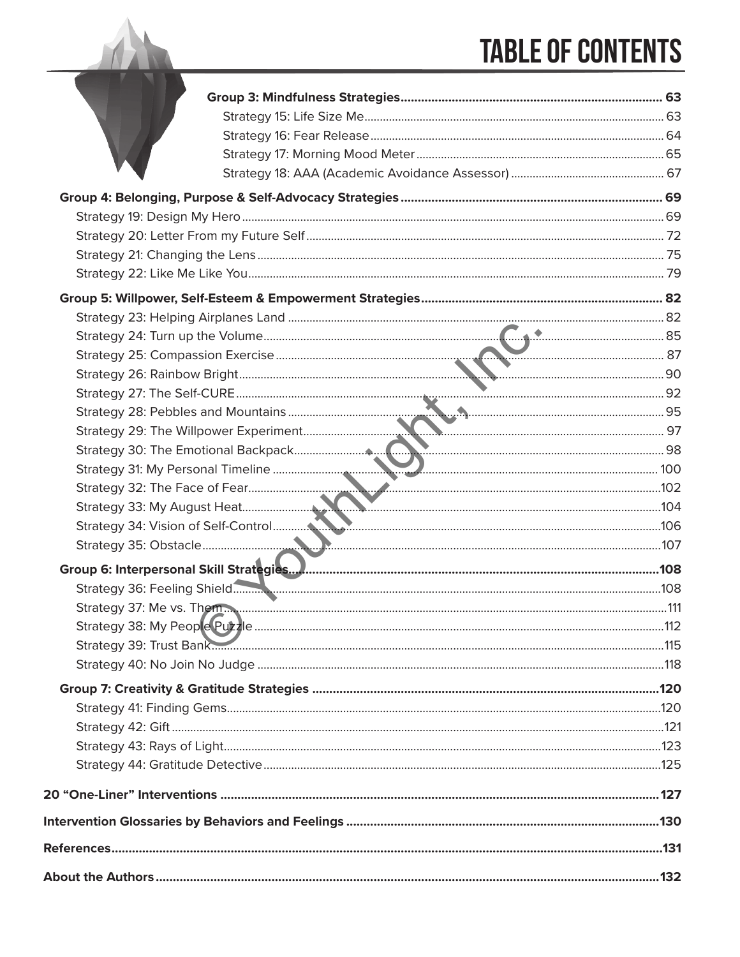# **TABLE OF CONTENTS**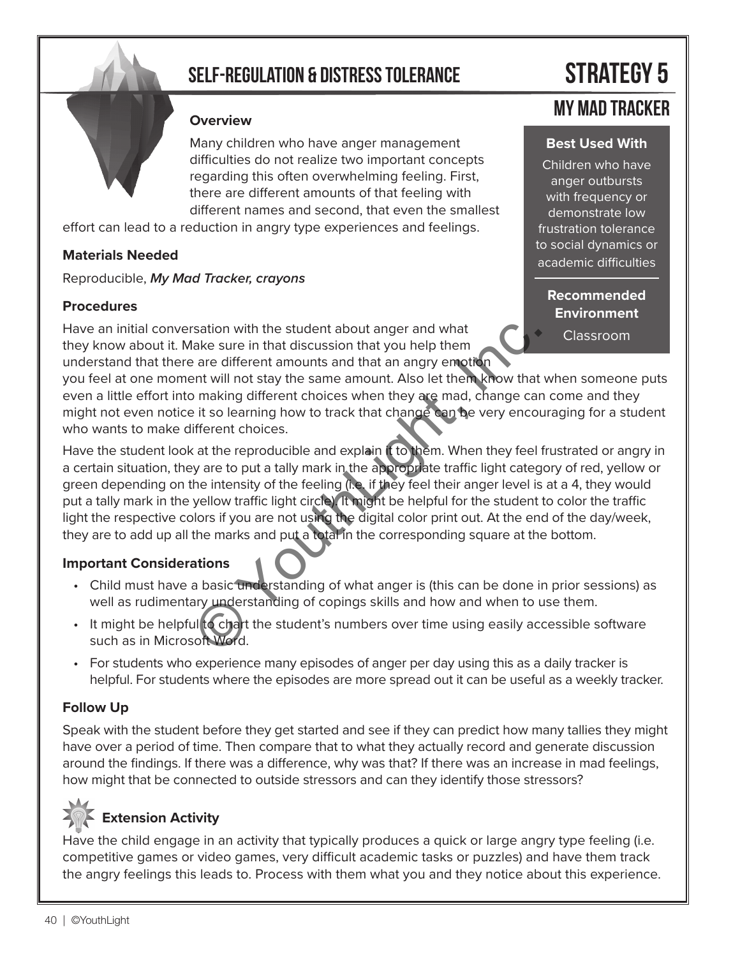### **self-regulation & distress tolerance strategy 5**

#### **Overview**

Many children who have anger management difficulties do not realize two important concepts regarding this often overwhelming feeling. First, there are different amounts of that feeling with different names and second, that even the smallest

effort can lead to a reduction in angry type experiences and feelings.

#### **Materials Needed**

Reproducible, *My Mad Tracker, crayons*

#### **Procedures**

Have an initial conversation with the student about anger and what they know about it. Make sure in that discussion that you help them understand that there are different amounts and that an angry emotion

you feel at one moment will not stay the same amount. Also let them know that when someone puts even a little effort into making different choices when they are mad, change can come and they might not even notice it so learning how to track that change can be very encouraging for a student who wants to make different choices.

Have the student look at the reproducible and explain it to them. When they feel frustrated or angry in a certain situation, they are to put a tally mark in the appropriate traffic light category of red, yellow or green depending on the intensity of the feeling (i.e. if they feel their anger level is at a 4, they would put a tally mark in the yellow traffic light circle). It might be helpful for the student to color the traffic light the respective colors if you are not using the digital color print out. At the end of the day/week, they are to add up all the marks and put a total in the corresponding square at the bottom. ration with the student about anger and what<br>lake sure in that discussion that you help them<br>are different amounts and that an angry emotion<br>ent will not stay the same amount. Also let them know that<br>making different choic

#### **Important Considerations**

- Child must have a basic understanding of what anger is (this can be done in prior sessions) as well as rudimentary understanding of copings skills and how and when to use them.
- It might be helpful to chart the student's numbers over time using easily accessible software such as in Microsoft Word.
- For students who experience many episodes of anger per day using this as a daily tracker is helpful. For students where the episodes are more spread out it can be useful as a weekly tracker.

#### **Follow Up**

Speak with the student before they get started and see if they can predict how many tallies they might have over a period of time. Then compare that to what they actually record and generate discussion around the findings. If there was a difference, why was that? If there was an increase in mad feelings, how might that be connected to outside stressors and can they identify those stressors?

### **Extension Activity**

Have the child engage in an activity that typically produces a quick or large angry type feeling (i.e. competitive games or video games, very difficult academic tasks or puzzles) and have them track the angry feelings this leads to. Process with them what you and they notice about this experience.

### **my mad tracker**

#### **Best Used With**

Children who have anger outbursts with frequency or demonstrate low frustration tolerance to social dynamics or academic difficulties

**Recommended Environment**

Classroom